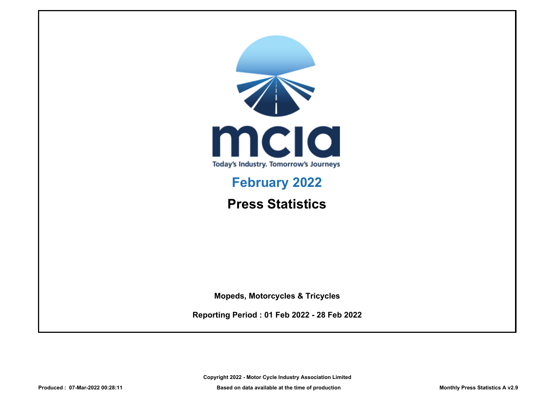

# **February 2022**

**Press Statistics**

**Mopeds, Motorcycles & Tricycles**

**Reporting Period : 01 Feb 2022 - 28 Feb 2022**

**Copyright 2022 - Motor Cycle Industry Association Limited**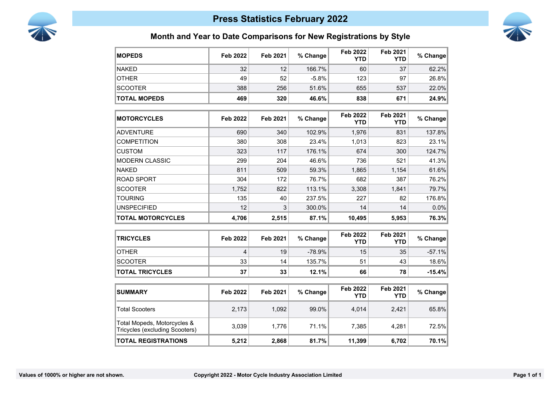



### **Month and Year to Date Comparisons for New Registrations by Style**

| <b>MOPEDS</b>                                                 | <b>Feb 2022</b> | <b>Feb 2021</b> | % Change | <b>Feb 2022</b><br>YTD        | Feb 2021<br><b>YTD</b>        | % Change |
|---------------------------------------------------------------|-----------------|-----------------|----------|-------------------------------|-------------------------------|----------|
| <b>NAKED</b>                                                  | 32              | 12              | 166.7%   | 60                            | 37                            | 62.2%    |
| <b>OTHER</b>                                                  | 49              | 52              | $-5.8%$  | 123                           | 97                            | 26.8%    |
| <b>SCOOTER</b>                                                | 388             | 256             | 51.6%    | 655                           | 537                           | 22.0%    |
| <b>TOTAL MOPEDS</b>                                           | 469             | 320             | 46.6%    | 838                           | 671                           | 24.9%    |
| <b>MOTORCYCLES</b>                                            | <b>Feb 2022</b> | <b>Feb 2021</b> | % Change | <b>Feb 2022</b><br><b>YTD</b> | <b>Feb 2021</b><br><b>YTD</b> | % Change |
| <b>ADVENTURE</b>                                              | 690             | 340             | 102.9%   | 1,976                         | 831                           | 137.8%   |
| <b>COMPETITION</b>                                            | 380             | 308             | 23.4%    | 1,013                         | 823                           | 23.1%    |
| <b>CUSTOM</b>                                                 | 323             | 117             | 176.1%   | 674                           | 300                           | 124.7%   |
| <b>MODERN CLASSIC</b>                                         | 299             | 204             | 46.6%    | 736                           | 521                           | 41.3%    |
| <b>NAKED</b>                                                  | 811             | 509             | 59.3%    | 1,865                         | 1,154                         | 61.6%    |
| <b>ROAD SPORT</b>                                             | 304             | 172             | 76.7%    | 682                           | 387                           | 76.2%    |
| <b>SCOOTER</b>                                                | 1,752           | 822             | 113.1%   | 3,308                         | 1,841                         | 79.7%    |
| <b>TOURING</b>                                                | 135             | 40              | 237.5%   | 227                           | 82                            | 176.8%   |
| <b>UNSPECIFIED</b>                                            | 12              | 3               | 300.0%   | 14                            | 14                            | 0.0%     |
| <b>TOTAL MOTORCYCLES</b>                                      | 4,706           | 2,515           | 87.1%    | 10,495                        | 5,953                         | 76.3%    |
| <b>TRICYCLES</b>                                              | <b>Feb 2022</b> | <b>Feb 2021</b> | % Change | <b>Feb 2022</b><br><b>YTD</b> | <b>Feb 2021</b><br><b>YTD</b> | % Change |
| <b>OTHER</b>                                                  | 4               | 19              | $-78.9%$ | 15                            | 35                            | $-57.1%$ |
| <b>SCOOTER</b>                                                | 33              | 14              | 135.7%   | 51                            | 43                            | 18.6%    |
| <b>TOTAL TRICYCLES</b>                                        | 37              | 33              | 12.1%    | 66                            | 78                            | $-15.4%$ |
| <b>SUMMARY</b>                                                | <b>Feb 2022</b> | <b>Feb 2021</b> | % Change | <b>Feb 2022</b><br><b>YTD</b> | <b>Feb 2021</b><br><b>YTD</b> | % Change |
| <b>Total Scooters</b>                                         | 2,173           | 1,092           | 99.0%    | 4,014                         | 2,421                         | 65.8%    |
| Total Mopeds, Motorcycles &<br>Tricycles (excluding Scooters) | 3,039           | 1,776           | 71.1%    | 7,385                         | 4,281                         | 72.5%    |
| <b>TOTAL REGISTRATIONS</b>                                    | 5,212           | 2,868           | 81.7%    | 11,399                        | 6,702                         | 70.1%    |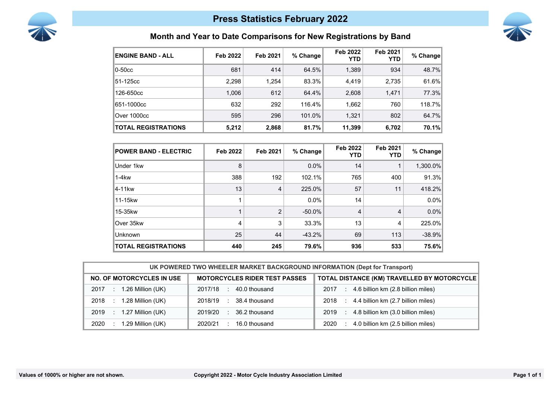



### **Month and Year to Date Comparisons for New Registrations by Band**

| <b>ENGINE BAND - ALL</b>   | Feb 2022 | Feb 2021 | % Change  | <b>Feb 2022</b><br><b>YTD</b> | Feb 2021<br><b>YTD</b> | % Change |
|----------------------------|----------|----------|-----------|-------------------------------|------------------------|----------|
| $0-50cc$                   | 681      | 414      | 64.5%     | 1,389                         | 934                    | 48.7%    |
| 51-125cc                   | 2,298    | 1.254    | 83.3%     | 4,419                         | 2,735                  | 61.6%    |
| 126-650cc                  | 1,006    | 612      | 64.4%     | 2,608                         | 1,471                  | 77.3%    |
| 651-1000cc                 | 632      | 292      | $116.4\%$ | 1,662                         | 760                    | 118.7%   |
| Over 1000cc                | 595      | 296      | 101.0%    | 1,321                         | 802                    | 64.7%    |
| <b>TOTAL REGISTRATIONS</b> | 5,212    | 2,868    | 81.7%     | 11,399                        | 6,702                  | 70.1%    |

| <b>POWER BAND - ELECTRIC</b> | <b>Feb 2022</b> | Feb 2021       | % Change  | Feb 2022<br><b>YTD</b> | Feb 2021<br>YTD. | % Change |
|------------------------------|-----------------|----------------|-----------|------------------------|------------------|----------|
| Under 1kw                    | 8               |                | $0.0\%$   | 14                     |                  | 1,300.0% |
| $1-4kw$                      | 388             | 192            | 102.1%    | 765                    | 400              | 91.3%    |
| ∣4-11kw                      | 13              | 4              | 225.0%    | 57                     | 11               | 418.2%   |
| 11-15kw                      | 1               |                | $0.0\%$   | 14                     |                  | $0.0\%$  |
| 15-35kw                      | 1               | $\mathfrak{p}$ | $-50.0\%$ | 4                      | 4                | $0.0\%$  |
| Over 35kw                    | 4               | 3              | 33.3%     | 13                     | 4                | 225.0%   |
| Unknown                      | 25              | 44             | $-43.2%$  | 69                     | 113              | $-38.9%$ |
| <b>TOTAL REGISTRATIONS</b>   | 440             | 245            | 79.6%     | 936                    | 533              | 75.6%    |

| UK POWERED TWO WHEELER MARKET BACKGROUND INFORMATION (Dept for Transport) |                                      |                                                   |  |  |
|---------------------------------------------------------------------------|--------------------------------------|---------------------------------------------------|--|--|
| <b>NO. OF MOTORCYCLES IN USE</b>                                          | <b>MOTORCYCLES RIDER TEST PASSES</b> | TOTAL DISTANCE (KM) TRAVELLED BY MOTORCYCLE       |  |  |
| 1.26 Million (UK)<br>2017                                                 | 40.0 thousand<br>2017/18<br>$\sim$   | 4.6 billion km (2.8 billion miles)<br>2017<br>÷   |  |  |
| 1.28 Million (UK)<br>2018                                                 | 38.4 thousand<br>2018/19<br>л.       | 4.4 billion km (2.7 billion miles)<br>2018<br>-11 |  |  |
| 1.27 Million (UK)<br>2019<br>VD.                                          | 36.2 thousand<br>2019/20<br>٠.       | 4.8 billion km (3.0 billion miles)<br>2019<br>÷   |  |  |
| 1.29 Million (UK)<br>2020                                                 | 16.0 thousand<br>2020/21             | 4.0 billion km (2.5 billion miles)<br>2020        |  |  |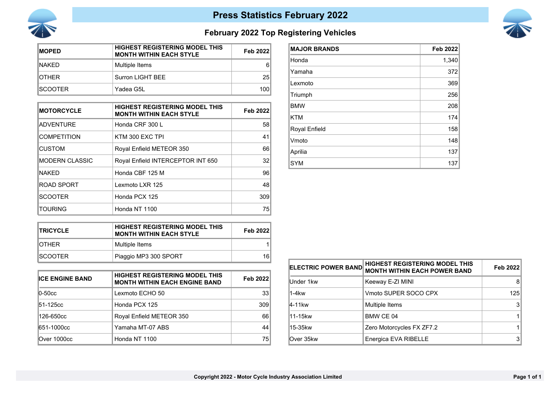



## **February 2022 Top Registering Vehicles**

| <b>MOPED</b>    | <b>HIGHEST REGISTERING MODEL THIS</b><br><b>MONTH WITHIN EACH STYLE</b> | Feb 2022 |
|-----------------|-------------------------------------------------------------------------|----------|
| INAKFD.         | Multiple Items                                                          | 6        |
| <b>IOTHER</b>   | Surron LIGHT BEE                                                        | 25       |
| <b>ISCOOTER</b> | Yadea G5L                                                               | 100      |

| <b>MOTORCYCLE</b>      | <b>HIGHEST REGISTERING MODEL THIS</b><br><b>MONTH WITHIN EACH STYLE</b> | Feb 2022        |
|------------------------|-------------------------------------------------------------------------|-----------------|
| <b>ADVENTURE</b>       | Honda CRF 300 L                                                         | 58 <sub>l</sub> |
| <b>COMPETITION</b>     | KTM 300 EXC TPI                                                         | 41              |
| <b>CUSTOM</b>          | Royal Enfield METEOR 350                                                | 66              |
| <b>IMODERN CLASSIC</b> | Royal Enfield INTERCEPTOR INT 650                                       | 32              |
| <b>NAKED</b>           | Honda CBF 125 M                                                         | 96              |
| <b>ROAD SPORT</b>      | Lexmoto LXR 125                                                         | 48              |
| <b>SCOOTER</b>         | Honda PCX 125                                                           | 309             |
| TOURING                | Honda NT 1100                                                           | 75              |

| <b>MAJOR BRANDS</b> | <b>Feb 2022</b> |
|---------------------|-----------------|
| Honda               | 1,340           |
| Yamaha              | 372             |
| Lexmoto             | 369             |
| Triumph             | 256             |
| <b>BMW</b>          | 208             |
| <b>KTM</b>          | 174             |
| Royal Enfield       | 158             |
| Vmoto               | 148             |
| Aprilia             | 137             |
| <b>SYM</b>          | 137             |

| <b>ITRICYCLE</b> | <b>HIGHEST REGISTERING MODEL THIS</b><br><b>MONTH WITHIN EACH STYLE</b> | <b>Feb 2022</b> |
|------------------|-------------------------------------------------------------------------|-----------------|
| IOTHFR           | Multiple Items                                                          |                 |
| ISCOOTFR.        | Piaggio MP3 300 SPORT                                                   | 16              |

| <b>ICE ENGINE BAND</b>            | <b>HIGHEST REGISTERING MODEL THIS</b><br><b>MONTH WITHIN EACH ENGINE BAND</b> | Feb 2022        |
|-----------------------------------|-------------------------------------------------------------------------------|-----------------|
| $\overline{0}$ -50 $\overline{c}$ | Lexmoto ECHO 50                                                               | 33 <sup>1</sup> |
| 51-125cc                          | Honda PCX 125                                                                 | 309             |
| 126-650cc                         | Royal Enfield METEOR 350                                                      | 66              |
| 651-1000cc                        | Yamaha MT-07 ABS                                                              | 44              |
| Over 1000cc                       | Honda NT 1100                                                                 | 75              |

| <b>ELECTRIC POWER BAND</b> | <b>HIGHEST REGISTERING MODEL THIS</b><br><b>MONTH WITHIN EACH POWER BAND</b> | Feb 2022 |
|----------------------------|------------------------------------------------------------------------------|----------|
| Under 1kw                  | Keeway E-ZI MINI                                                             | 8        |
| 1-4kw                      | Vmoto SUPER SOCO CPX                                                         | 125      |
| 4-11kw                     | Multiple Items                                                               |          |
| l11-15kw                   | BMW CE 04                                                                    |          |
| l15-35kw                   | Zero Motorcycles FX ZF7.2                                                    |          |
| Over 35kw                  | Energica EVA RIBELLE                                                         |          |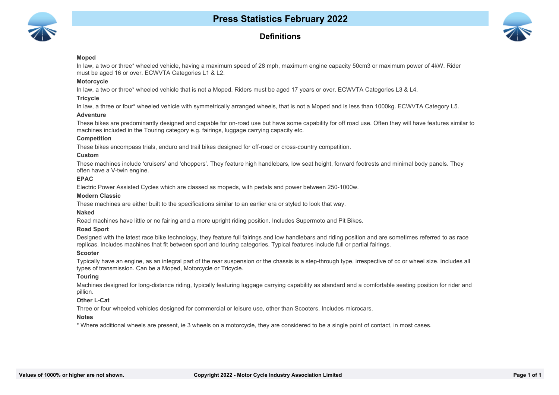

### **Definitions**



#### **Moped**

In law, a two or three\* wheeled vehicle, having a maximum speed of 28 mph, maximum engine capacity 50cm3 or maximum power of 4kW. Rider must be aged 16 or over. ECWVTA Categories L1 & L2.

#### **Motorcycle**

In law, a two or three\* wheeled vehicle that is not a Moped. Riders must be aged 17 years or over. ECWVTA Categories L3 & L4.

#### **Tricycle**

In law, a three or four\* wheeled vehicle with symmetrically arranged wheels, that is not a Moped and is less than 1000kg. ECWVTA Category L5.

#### **Adventure**

These bikes are predominantly designed and capable for on-road use but have some capability for off road use. Often they will have features similar to machines included in the Touring category e.g. fairings, luggage carrying capacity etc.

#### **Competition**

These bikes encompass trials, enduro and trail bikes designed for off-road or cross-country competition.

#### **Custom**

These machines include 'cruisers' and 'choppers'. They feature high handlebars, low seat height, forward footrests and minimal body panels. They often have a V-twin engine.

#### **EPAC**

Electric Power Assisted Cycles which are classed as mopeds, with pedals and power between 250-1000w.

#### **Modern Classic**

These machines are either built to the specifications similar to an earlier era or styled to look that way.

#### **Naked**

Road machines have little or no fairing and a more upright riding position. Includes Supermoto and Pit Bikes.

#### **10 Road Sport**

Designed with the latest race bike technology, they feature full fairings and low handlebars and riding position and are sometimes referred to as race replicas. Includes machines that fit between sport and touring categories. Typical features include full or partial fairings.

#### **11 Scooter**

Typically have an engine, as an integral part of the rear suspension or the chassis is a step-through type, irrespective of cc or wheel size. Includes all types of transmission. Can be a Moped, Motorcycle or Tricycle.

#### **12 Touring**

Machines designed for long-distance riding, typically featuring luggage carrying capability as standard and a comfortable seating position for rider and pillion.

#### **13 Other L-Cat**

Three or four wheeled vehicles designed for commercial or leisure use, other than Scooters. Includes microcars.

#### **14 Notes**

\* Where additional wheels are present, ie 3 wheels on a motorcycle, they are considered to be a single point of contact, in most cases.